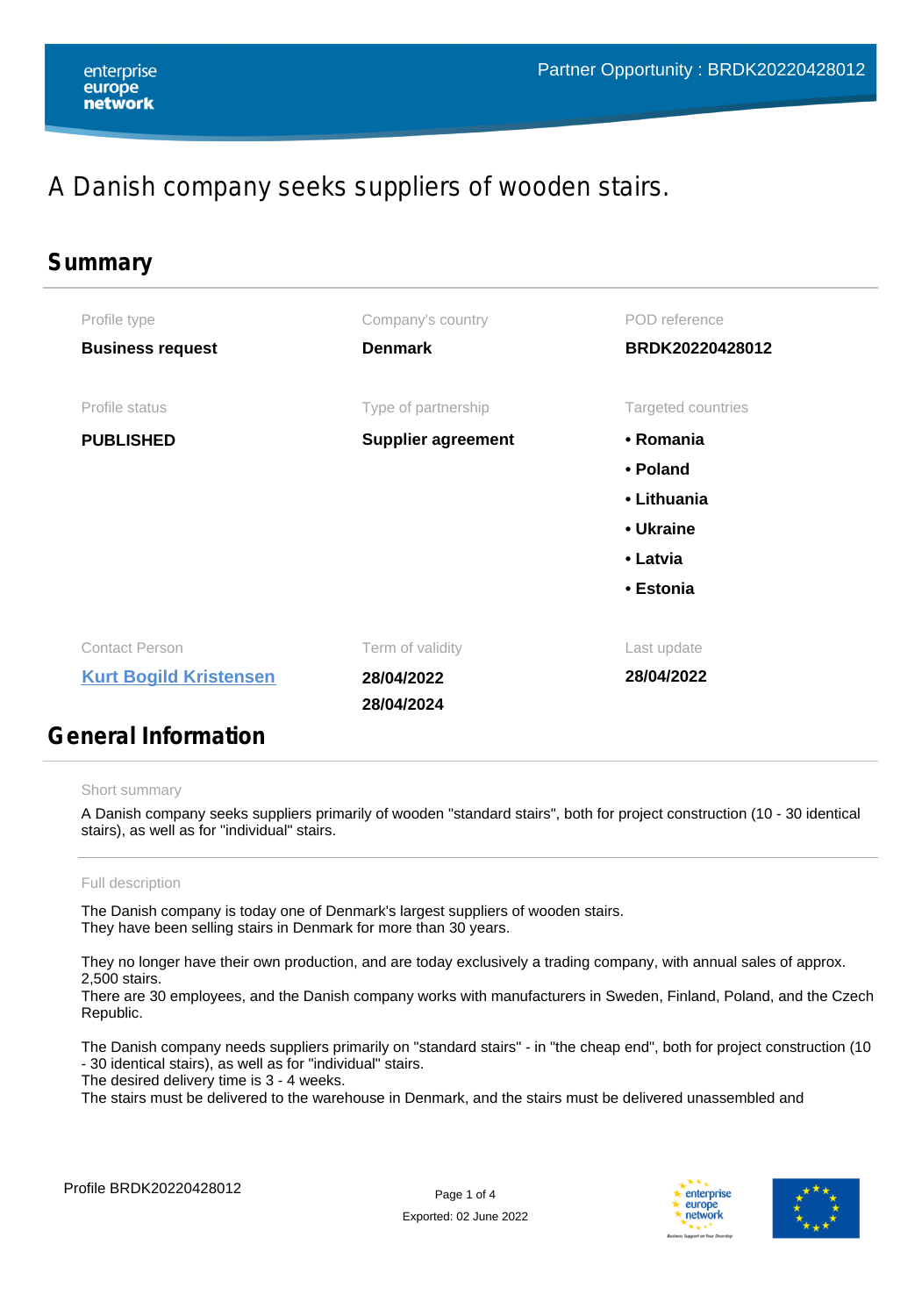#### enterprise europe network

# A Danish company seeks suppliers of wooden stairs.

| Summary                                                                                                                                                                                                                              |                           |                    |  |
|--------------------------------------------------------------------------------------------------------------------------------------------------------------------------------------------------------------------------------------|---------------------------|--------------------|--|
| Profile type                                                                                                                                                                                                                         | Company's country         | POD reference      |  |
| <b>Business request</b>                                                                                                                                                                                                              | <b>Denmark</b>            | BRDK20220428012    |  |
| Profile status                                                                                                                                                                                                                       | Type of partnership       | Targeted countries |  |
| <b>PUBLISHED</b>                                                                                                                                                                                                                     | <b>Supplier agreement</b> | • Romania          |  |
|                                                                                                                                                                                                                                      |                           | • Poland           |  |
|                                                                                                                                                                                                                                      |                           | • Lithuania        |  |
|                                                                                                                                                                                                                                      |                           | • Ukraine          |  |
|                                                                                                                                                                                                                                      |                           | • Latvia           |  |
|                                                                                                                                                                                                                                      |                           | • Estonia          |  |
| <b>Contact Person</b>                                                                                                                                                                                                                | Term of validity          | Last update        |  |
| <b>Kurt Bogild Kristensen</b>                                                                                                                                                                                                        | 28/04/2022                | 28/04/2022         |  |
|                                                                                                                                                                                                                                      | 28/04/2024                |                    |  |
| <u>in the second second and second and second and second and second and second and second and second and second and second and second and second and second and second and second and second and second and second and second an</u> |                           |                    |  |

### **General Information**

#### Short summary

A Danish company seeks suppliers primarily of wooden "standard stairs", both for project construction (10 - 30 identical stairs), as well as for "individual" stairs.

#### Full description

The Danish company is today one of Denmark's largest suppliers of wooden stairs. They have been selling stairs in Denmark for more than 30 years.

They no longer have their own production, and are today exclusively a trading company, with annual sales of approx. 2,500 stairs.

There are 30 employees, and the Danish company works with manufacturers in Sweden, Finland, Poland, and the Czech Republic.

The Danish company needs suppliers primarily on "standard stairs" - in "the cheap end", both for project construction (10 - 30 identical stairs), as well as for "individual" stairs.

The desired delivery time is 3 - 4 weeks.

The stairs must be delivered to the warehouse in Denmark, and the stairs must be delivered unassembled and



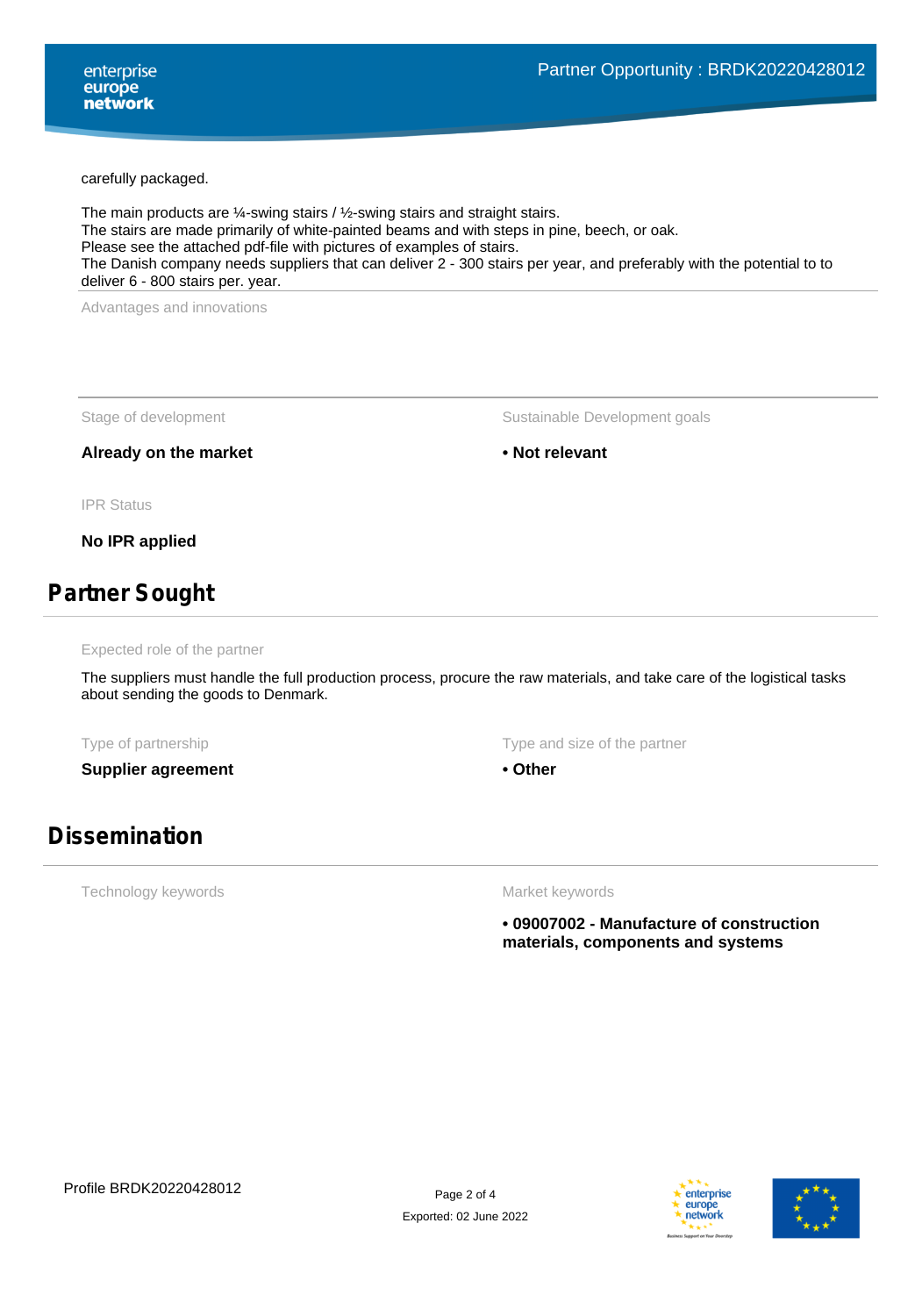carefully packaged.

The main products are ¼-swing stairs / ½-swing stairs and straight stairs. The stairs are made primarily of white-painted beams and with steps in pine, beech, or oak. Please see the attached pdf-file with pictures of examples of stairs. The Danish company needs suppliers that can deliver 2 - 300 stairs per year, and preferably with the potential to to deliver 6 - 800 stairs per. year.

Advantages and innovations

Already on the market **• Not relevant** • Not relevant

Stage of development The Sustainable Development goals

IPR Status

**No IPR applied**

### **Partner Sought**

Expected role of the partner

The suppliers must handle the full production process, procure the raw materials, and take care of the logistical tasks about sending the goods to Denmark.

**Supplier agreement • Other** 

Type of partnership Type and size of the partnership Type and size of the partner

### **Dissemination**

Technology keywords

Market keywords

**• 09007002 - Manufacture of construction materials, components and systems**



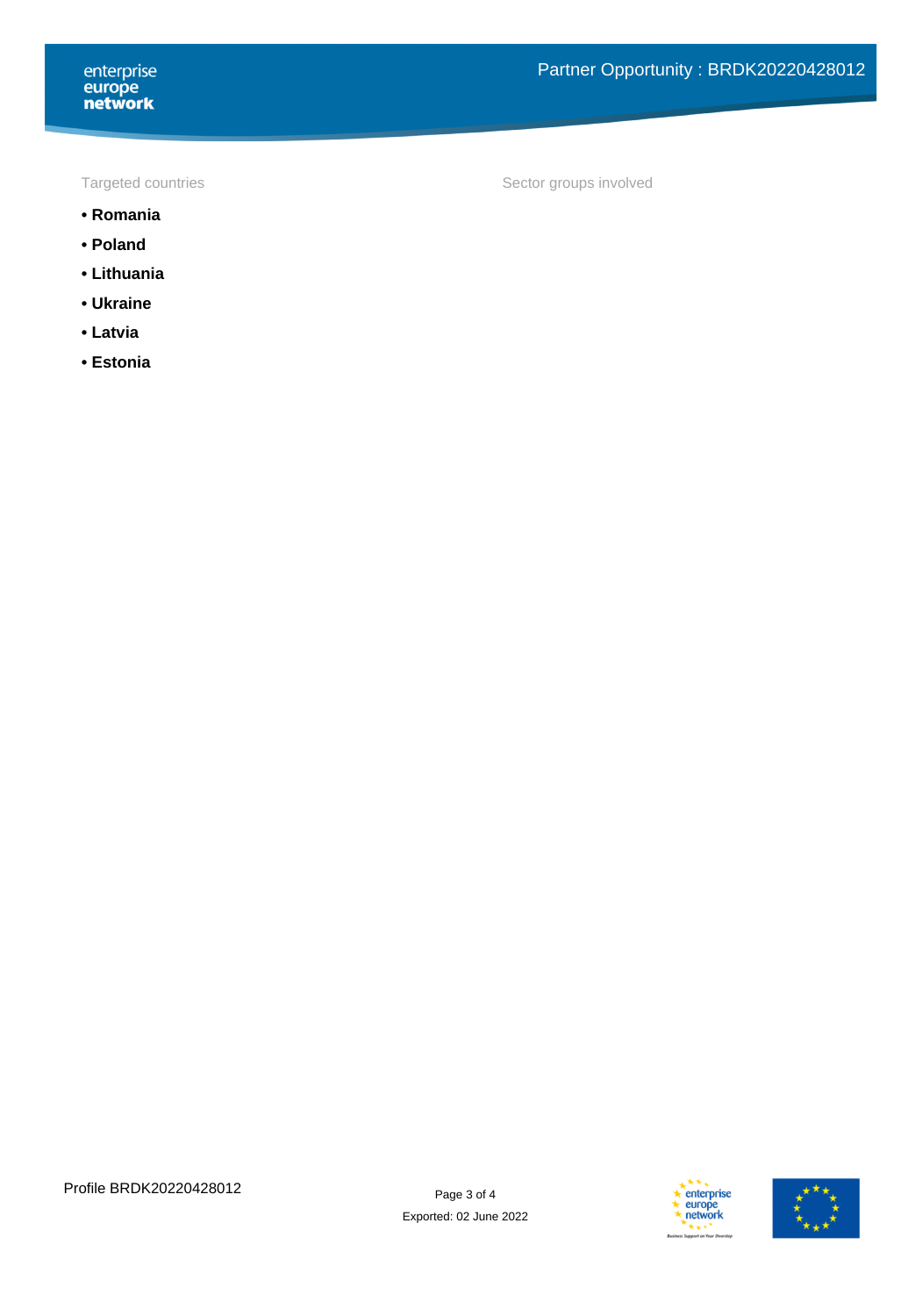- **Romania**
- **Poland**
- **Lithuania**
- **Ukraine**
- **Latvia**
- **Estonia**

Targeted countries Targeted countries and the Sector groups involved